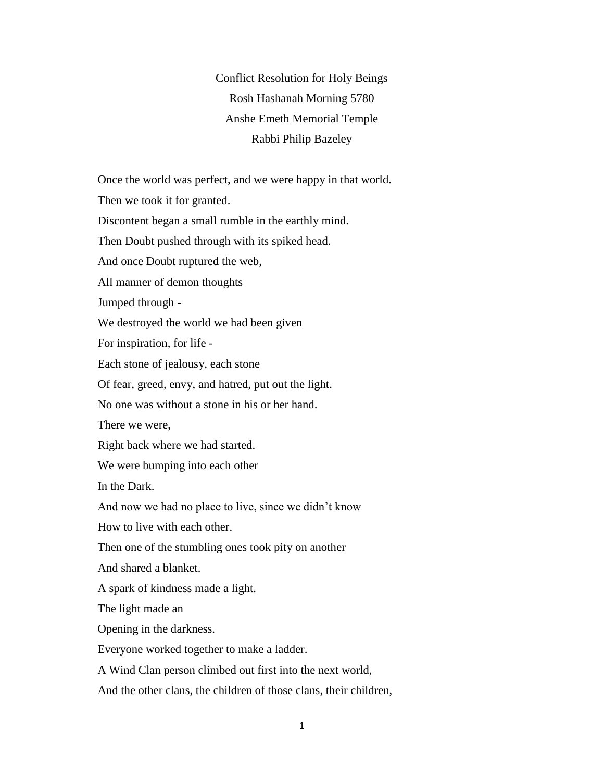Conflict Resolution for Holy Beings Rosh Hashanah Morning 5780 Anshe Emeth Memorial Temple Rabbi Philip Bazeley

Once the world was perfect, and we were happy in that world.

Then we took it for granted.

Discontent began a small rumble in the earthly mind.

Then Doubt pushed through with its spiked head.

And once Doubt ruptured the web,

All manner of demon thoughts

Jumped through -

We destroyed the world we had been given

For inspiration, for life -

Each stone of jealousy, each stone

Of fear, greed, envy, and hatred, put out the light.

No one was without a stone in his or her hand.

There we were,

Right back where we had started.

We were bumping into each other

In the Dark.

And now we had no place to live, since we didn't know

How to live with each other.

Then one of the stumbling ones took pity on another

And shared a blanket.

A spark of kindness made a light.

The light made an

Opening in the darkness.

Everyone worked together to make a ladder.

A Wind Clan person climbed out first into the next world,

And the other clans, the children of those clans, their children,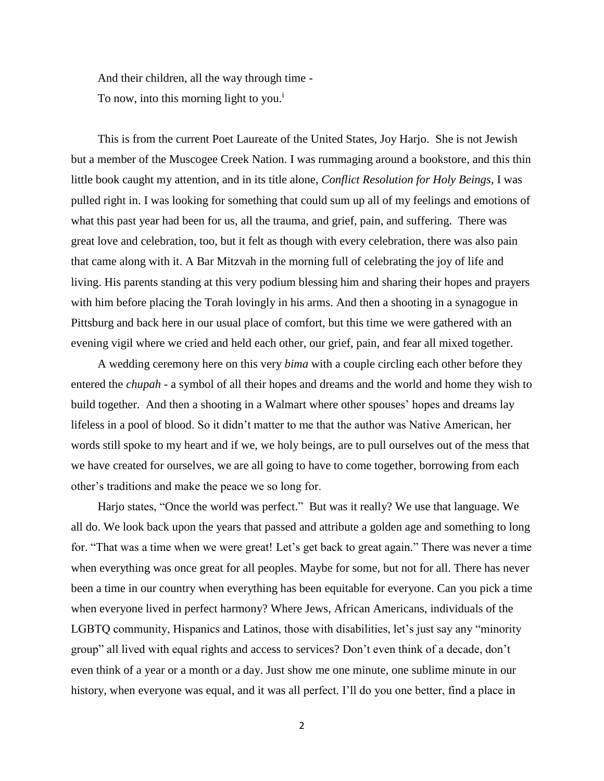And their children, all the way through time - To now, into this morning light to you.<sup>i</sup>

This is from the current Poet Laureate of the United States, Joy Harjo. She is not Jewish but a member of the Muscogee Creek Nation. I was rummaging around a bookstore, and this thin little book caught my attention, and in its title alone, *Conflict Resolution for Holy Beings*, I was pulled right in. I was looking for something that could sum up all of my feelings and emotions of what this past year had been for us, all the trauma, and grief, pain, and suffering. There was great love and celebration, too, but it felt as though with every celebration, there was also pain that came along with it. A Bar Mitzvah in the morning full of celebrating the joy of life and living. His parents standing at this very podium blessing him and sharing their hopes and prayers with him before placing the Torah lovingly in his arms. And then a shooting in a synagogue in Pittsburg and back here in our usual place of comfort, but this time we were gathered with an evening vigil where we cried and held each other, our grief, pain, and fear all mixed together.

A wedding ceremony here on this very *bima* with a couple circling each other before they entered the *chupah -* a symbol of all their hopes and dreams and the world and home they wish to build together. And then a shooting in a Walmart where other spouses' hopes and dreams lay lifeless in a pool of blood. So it didn't matter to me that the author was Native American, her words still spoke to my heart and if we, we holy beings, are to pull ourselves out of the mess that we have created for ourselves, we are all going to have to come together, borrowing from each other's traditions and make the peace we so long for.

Harjo states, "Once the world was perfect." But was it really? We use that language. We all do. We look back upon the years that passed and attribute a golden age and something to long for. "That was a time when we were great! Let's get back to great again." There was never a time when everything was once great for all peoples. Maybe for some, but not for all. There has never been a time in our country when everything has been equitable for everyone. Can you pick a time when everyone lived in perfect harmony? Where Jews, African Americans, individuals of the LGBTQ community, Hispanics and Latinos, those with disabilities, let's just say any "minority group" all lived with equal rights and access to services? Don't even think of a decade, don't even think of a year or a month or a day. Just show me one minute, one sublime minute in our history, when everyone was equal, and it was all perfect. I'll do you one better, find a place in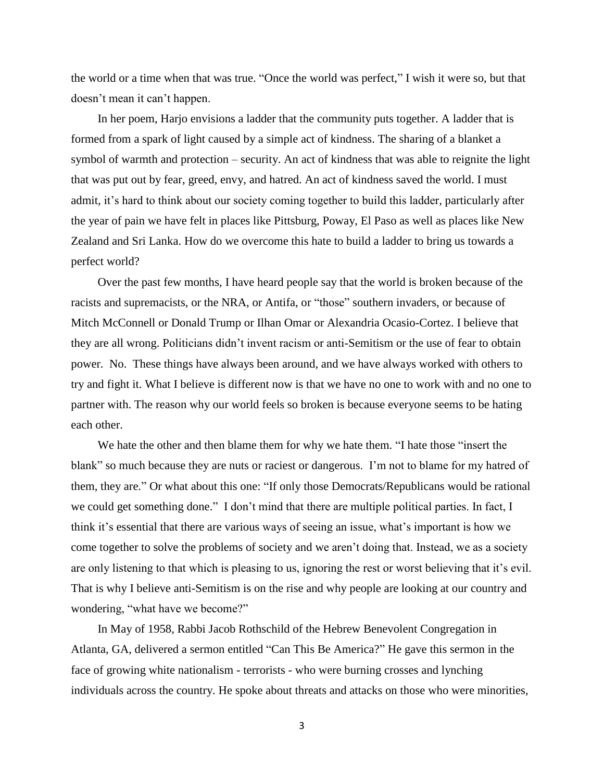the world or a time when that was true. "Once the world was perfect," I wish it were so, but that doesn't mean it can't happen.

In her poem, Harjo envisions a ladder that the community puts together. A ladder that is formed from a spark of light caused by a simple act of kindness. The sharing of a blanket a symbol of warmth and protection – security. An act of kindness that was able to reignite the light that was put out by fear, greed, envy, and hatred. An act of kindness saved the world. I must admit, it's hard to think about our society coming together to build this ladder, particularly after the year of pain we have felt in places like Pittsburg, Poway, El Paso as well as places like New Zealand and Sri Lanka. How do we overcome this hate to build a ladder to bring us towards a perfect world?

Over the past few months, I have heard people say that the world is broken because of the racists and supremacists, or the NRA, or Antifa, or "those" southern invaders, or because of Mitch McConnell or Donald Trump or Ilhan Omar or Alexandria Ocasio-Cortez. I believe that they are all wrong. Politicians didn't invent racism or anti-Semitism or the use of fear to obtain power. No. These things have always been around, and we have always worked with others to try and fight it. What I believe is different now is that we have no one to work with and no one to partner with. The reason why our world feels so broken is because everyone seems to be hating each other.

We hate the other and then blame them for why we hate them. "I hate those "insert the blank" so much because they are nuts or raciest or dangerous. I'm not to blame for my hatred of them, they are." Or what about this one: "If only those Democrats/Republicans would be rational we could get something done." I don't mind that there are multiple political parties. In fact, I think it's essential that there are various ways of seeing an issue, what's important is how we come together to solve the problems of society and we aren't doing that. Instead, we as a society are only listening to that which is pleasing to us, ignoring the rest or worst believing that it's evil. That is why I believe anti-Semitism is on the rise and why people are looking at our country and wondering, "what have we become?"

In May of 1958, Rabbi Jacob Rothschild of the Hebrew Benevolent Congregation in Atlanta, GA, delivered a sermon entitled "Can This Be America?" He gave this sermon in the face of growing white nationalism - terrorists - who were burning crosses and lynching individuals across the country. He spoke about threats and attacks on those who were minorities,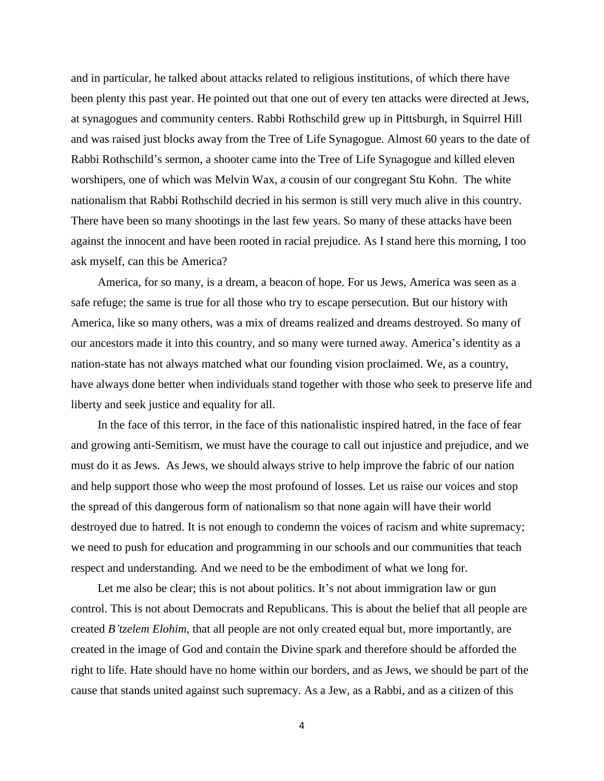and in particular, he talked about attacks related to religious institutions, of which there have been plenty this past year. He pointed out that one out of every ten attacks were directed at Jews, at synagogues and community centers. Rabbi Rothschild grew up in Pittsburgh, in Squirrel Hill and was raised just blocks away from the Tree of Life Synagogue. Almost 60 years to the date of Rabbi Rothschild's sermon, a shooter came into the Tree of Life Synagogue and killed eleven worshipers, one of which was Melvin Wax, a cousin of our congregant Stu Kohn. The white nationalism that Rabbi Rothschild decried in his sermon is still very much alive in this country. There have been so many shootings in the last few years. So many of these attacks have been against the innocent and have been rooted in racial prejudice. As I stand here this morning, I too ask myself, can this be America?

America, for so many, is a dream, a beacon of hope. For us Jews, America was seen as a safe refuge; the same is true for all those who try to escape persecution. But our history with America, like so many others, was a mix of dreams realized and dreams destroyed. So many of our ancestors made it into this country, and so many were turned away. America's identity as a nation-state has not always matched what our founding vision proclaimed. We, as a country, have always done better when individuals stand together with those who seek to preserve life and liberty and seek justice and equality for all.

In the face of this terror, in the face of this nationalistic inspired hatred, in the face of fear and growing anti-Semitism, we must have the courage to call out injustice and prejudice, and we must do it as Jews. As Jews, we should always strive to help improve the fabric of our nation and help support those who weep the most profound of losses. Let us raise our voices and stop the spread of this dangerous form of nationalism so that none again will have their world destroyed due to hatred. It is not enough to condemn the voices of racism and white supremacy; we need to push for education and programming in our schools and our communities that teach respect and understanding. And we need to be the embodiment of what we long for.

Let me also be clear; this is not about politics. It's not about immigration law or gun control. This is not about Democrats and Republicans. This is about the belief that all people are created *B'tzelem Elohim*, that all people are not only created equal but, more importantly, are created in the image of God and contain the Divine spark and therefore should be afforded the right to life. Hate should have no home within our borders, and as Jews, we should be part of the cause that stands united against such supremacy. As a Jew, as a Rabbi, and as a citizen of this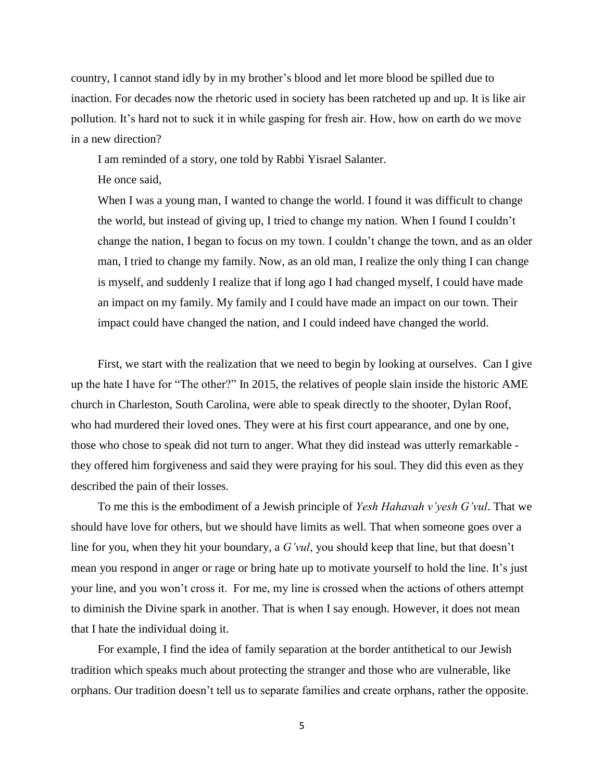country, I cannot stand idly by in my brother's blood and let more blood be spilled due to inaction. For decades now the rhetoric used in society has been ratcheted up and up. It is like air pollution. It's hard not to suck it in while gasping for fresh air. How, how on earth do we move in a new direction?

I am reminded of a story, one told by Rabbi Yisrael Salanter.

He once said,

When I was a young man, I wanted to change the world. I found it was difficult to change the world, but instead of giving up, I tried to change my nation. When I found I couldn't change the nation, I began to focus on my town. I couldn't change the town, and as an older man, I tried to change my family. Now, as an old man, I realize the only thing I can change is myself, and suddenly I realize that if long ago I had changed myself, I could have made an impact on my family. My family and I could have made an impact on our town. Their impact could have changed the nation, and I could indeed have changed the world.

First, we start with the realization that we need to begin by looking at ourselves. Can I give up the hate I have for "The other?" In 2015, the relatives of people slain inside the historic AME church in Charleston, South Carolina, were able to speak directly to the shooter, Dylan Roof, who had murdered their loved ones. They were at his first court appearance, and one by one, those who chose to speak did not turn to anger. What they did instead was utterly remarkable they offered him forgiveness and said they were praying for his soul. They did this even as they described the pain of their losses.

To me this is the embodiment of a Jewish principle of *Yesh Hahavah v'yesh G'vul*. That we should have love for others, but we should have limits as well. That when someone goes over a line for you, when they hit your boundary, a *G'vul*, you should keep that line, but that doesn't mean you respond in anger or rage or bring hate up to motivate yourself to hold the line. It's just your line, and you won't cross it. For me, my line is crossed when the actions of others attempt to diminish the Divine spark in another. That is when I say enough. However, it does not mean that I hate the individual doing it.

For example, I find the idea of family separation at the border antithetical to our Jewish tradition which speaks much about protecting the stranger and those who are vulnerable, like orphans. Our tradition doesn't tell us to separate families and create orphans, rather the opposite.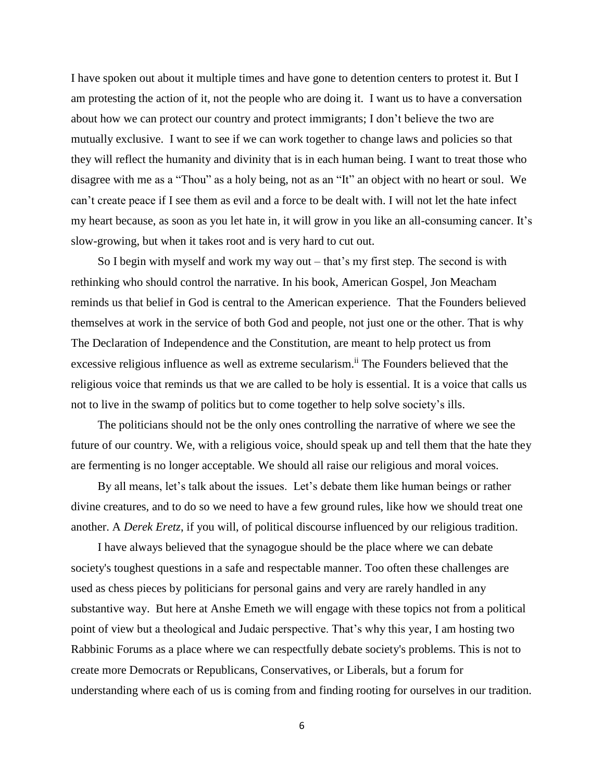I have spoken out about it multiple times and have gone to detention centers to protest it. But I am protesting the action of it, not the people who are doing it. I want us to have a conversation about how we can protect our country and protect immigrants; I don't believe the two are mutually exclusive. I want to see if we can work together to change laws and policies so that they will reflect the humanity and divinity that is in each human being. I want to treat those who disagree with me as a "Thou" as a holy being, not as an "It" an object with no heart or soul. We can't create peace if I see them as evil and a force to be dealt with. I will not let the hate infect my heart because, as soon as you let hate in, it will grow in you like an all-consuming cancer. It's slow-growing, but when it takes root and is very hard to cut out.

So I begin with myself and work my way out – that's my first step. The second is with rethinking who should control the narrative. In his book, American Gospel, Jon Meacham reminds us that belief in God is central to the American experience. That the Founders believed themselves at work in the service of both God and people, not just one or the other. That is why The Declaration of Independence and the Constitution, are meant to help protect us from excessive religious influence as well as extreme secularism.<sup>ii</sup> The Founders believed that the religious voice that reminds us that we are called to be holy is essential. It is a voice that calls us not to live in the swamp of politics but to come together to help solve society's ills.

The politicians should not be the only ones controlling the narrative of where we see the future of our country. We, with a religious voice, should speak up and tell them that the hate they are fermenting is no longer acceptable. We should all raise our religious and moral voices.

By all means, let's talk about the issues. Let's debate them like human beings or rather divine creatures, and to do so we need to have a few ground rules, like how we should treat one another. A *Derek Eretz*, if you will, of political discourse influenced by our religious tradition.

I have always believed that the synagogue should be the place where we can debate society's toughest questions in a safe and respectable manner. Too often these challenges are used as chess pieces by politicians for personal gains and very are rarely handled in any substantive way. But here at Anshe Emeth we will engage with these topics not from a political point of view but a theological and Judaic perspective. That's why this year, I am hosting two Rabbinic Forums as a place where we can respectfully debate society's problems. This is not to create more Democrats or Republicans, Conservatives, or Liberals, but a forum for understanding where each of us is coming from and finding rooting for ourselves in our tradition.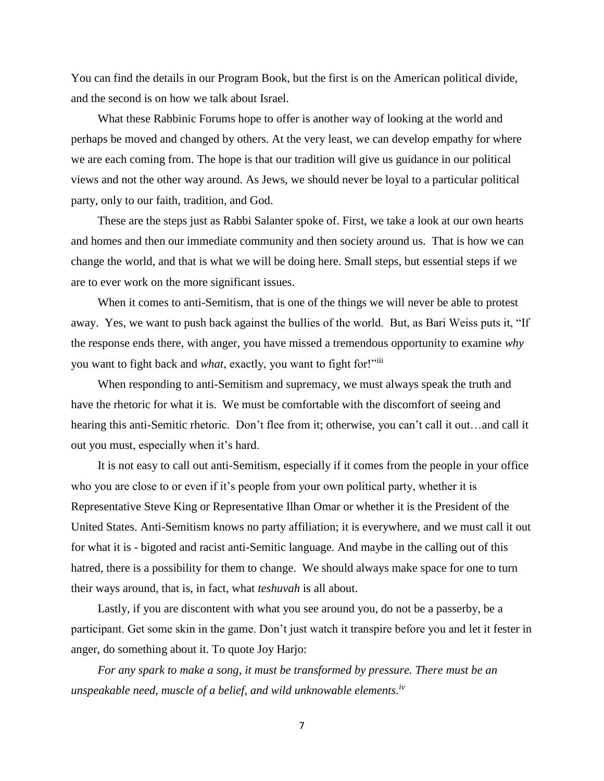You can find the details in our Program Book, but the first is on the American political divide, and the second is on how we talk about Israel.

What these Rabbinic Forums hope to offer is another way of looking at the world and perhaps be moved and changed by others. At the very least, we can develop empathy for where we are each coming from. The hope is that our tradition will give us guidance in our political views and not the other way around. As Jews, we should never be loyal to a particular political party, only to our faith, tradition, and God.

These are the steps just as Rabbi Salanter spoke of. First, we take a look at our own hearts and homes and then our immediate community and then society around us. That is how we can change the world, and that is what we will be doing here. Small steps, but essential steps if we are to ever work on the more significant issues.

When it comes to anti-Semitism, that is one of the things we will never be able to protest away. Yes, we want to push back against the bullies of the world. But, as Bari Weiss puts it, "If the response ends there, with anger, you have missed a tremendous opportunity to examine *why* you want to fight back and *what*, exactly, you want to fight for!"iii

When responding to anti-Semitism and supremacy, we must always speak the truth and have the rhetoric for what it is. We must be comfortable with the discomfort of seeing and hearing this anti-Semitic rhetoric. Don't flee from it; otherwise, you can't call it out...and call it out you must, especially when it's hard.

It is not easy to call out anti-Semitism, especially if it comes from the people in your office who you are close to or even if it's people from your own political party, whether it is Representative Steve King or Representative Ilhan Omar or whether it is the President of the United States. Anti-Semitism knows no party affiliation; it is everywhere, and we must call it out for what it is - bigoted and racist anti-Semitic language. And maybe in the calling out of this hatred, there is a possibility for them to change. We should always make space for one to turn their ways around, that is, in fact, what *teshuvah* is all about.

Lastly, if you are discontent with what you see around you, do not be a passerby, be a participant. Get some skin in the game. Don't just watch it transpire before you and let it fester in anger, do something about it. To quote Joy Harjo:

*For any spark to make a song, it must be transformed by pressure. There must be an unspeakable need, muscle of a belief, and wild unknowable elements.iv*